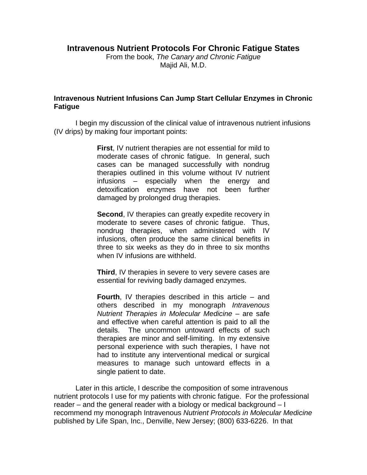# **Intravenous Nutrient Protocols For Chronic Fatigue States**

From the book, *The Canary and Chronic Fatigue* Majid Ali, M.D.

# **Intravenous Nutrient Infusions Can Jump Start Cellular Enzymes in Chronic Fatigue**

 I begin my discussion of the clinical value of intravenous nutrient infusions (IV drips) by making four important points:

> **First**, IV nutrient therapies are not essential for mild to moderate cases of chronic fatigue. In general, such cases can be managed successfully with nondrug therapies outlined in this volume without IV nutrient infusions – especially when the energy and detoxification enzymes have not been further damaged by prolonged drug therapies.

> **Second**, IV therapies can greatly expedite recovery in moderate to severe cases of chronic fatigue. Thus, nondrug therapies, when administered with IV infusions, often produce the same clinical benefits in three to six weeks as they do in three to six months when IV infusions are withheld.

> **Third**, IV therapies in severe to very severe cases are essential for reviving badly damaged enzymes.

**Fourth**, IV therapies described in this article – and others described in my monograph *Intravenous Nutrient Therapies in Molecular Medicine* – are safe and effective when careful attention is paid to all the details. The uncommon untoward effects of such therapies are minor and self-limiting. In my extensive personal experience with such therapies, I have not had to institute any interventional medical or surgical measures to manage such untoward effects in a single patient to date.

Later in this article, I describe the composition of some intravenous nutrient protocols I use for my patients with chronic fatigue. For the professional reader – and the general reader with a biology or medical background – I recommend my monograph Intravenous *Nutrient Protocols in Molecular Medicine* published by Life Span, Inc., Denville, New Jersey; (800) 633-6226. In that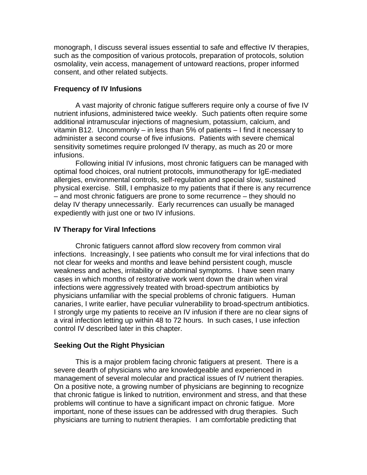monograph, I discuss several issues essential to safe and effective IV therapies, such as the composition of various protocols, preparation of protocols, solution osmolality, vein access, management of untoward reactions, proper informed consent, and other related subjects.

### **Frequency of IV Infusions**

 A vast majority of chronic fatigue sufferers require only a course of five IV nutrient infusions, administered twice weekly. Such patients often require some additional intramuscular injections of magnesium, potassium, calcium, and vitamin B12. Uncommonly – in less than 5% of patients – I find it necessary to administer a second course of five infusions. Patients with severe chemical sensitivity sometimes require prolonged IV therapy, as much as 20 or more infusions.

 Following initial IV infusions, most chronic fatiguers can be managed with optimal food choices, oral nutrient protocols, immunotherapy for IgE-mediated allergies, environmental controls, self-regulation and special slow, sustained physical exercise. Still, I emphasize to my patients that if there is any recurrence – and most chronic fatiguers are prone to some recurrence – they should no delay IV therapy unnecessarily. Early recurrences can usually be managed expediently with just one or two IV infusions.

#### **IV Therapy for Viral Infections**

 Chronic fatiguers cannot afford slow recovery from common viral infections. Increasingly, I see patients who consult me for viral infections that do not clear for weeks and months and leave behind persistent cough, muscle weakness and aches, irritability or abdominal symptoms. I have seen many cases in which months of restorative work went down the drain when viral infections were aggressively treated with broad-spectrum antibiotics by physicians unfamiliar with the special problems of chronic fatiguers. Human canaries, I write earlier, have peculiar vulnerability to broad-spectrum antibiotics. I strongly urge my patients to receive an IV infusion if there are no clear signs of a viral infection letting up within 48 to 72 hours. In such cases, I use infection control IV described later in this chapter.

### **Seeking Out the Right Physician**

 This is a major problem facing chronic fatiguers at present. There is a severe dearth of physicians who are knowledgeable and experienced in management of several molecular and practical issues of IV nutrient therapies. On a positive note, a growing number of physicians are beginning to recognize that chronic fatigue is linked to nutrition, environment and stress, and that these problems will continue to have a significant impact on chronic fatigue. More important, none of these issues can be addressed with drug therapies. Such physicians are turning to nutrient therapies. I am comfortable predicting that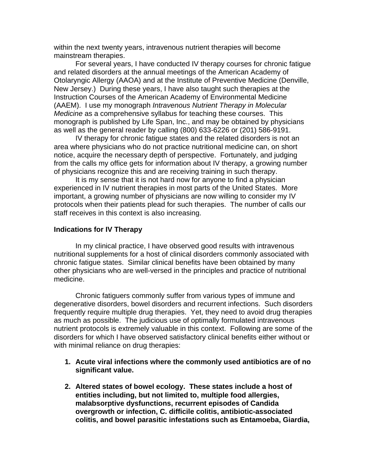within the next twenty years, intravenous nutrient therapies will become mainstream therapies.

 For several years, I have conducted IV therapy courses for chronic fatigue and related disorders at the annual meetings of the American Academy of Otolaryngic Allergy (AAOA) and at the Institute of Preventive Medicine (Denville, New Jersey.) During these years, I have also taught such therapies at the Instruction Courses of the American Academy of Environmental Medicine (AAEM). I use my monograph *Intravenous Nutrient Therapy in Molecular Medicine* as a comprehensive syllabus for teaching these courses. This monograph is published by Life Span, Inc., and may be obtained by physicians as well as the general reader by calling (800) 633-6226 or (201) 586-9191.

 IV therapy for chronic fatigue states and the related disorders is not an area where physicians who do not practice nutritional medicine can, on short notice, acquire the necessary depth of perspective. Fortunately, and judging from the calls my office gets for information about IV therapy, a growing number of physicians recognize this and are receiving training in such therapy.

 It is my sense that it is not hard now for anyone to find a physician experienced in IV nutrient therapies in most parts of the United States. More important, a growing number of physicians are now willing to consider my IV protocols when their patients plead for such therapies. The number of calls our staff receives in this context is also increasing.

#### **Indications for IV Therapy**

 In my clinical practice, I have observed good results with intravenous nutritional supplements for a host of clinical disorders commonly associated with chronic fatigue states. Similar clinical benefits have been obtained by many other physicians who are well-versed in the principles and practice of nutritional medicine.

 Chronic fatiguers commonly suffer from various types of immune and degenerative disorders, bowel disorders and recurrent infections. Such disorders frequently require multiple drug therapies. Yet, they need to avoid drug therapies as much as possible. The judicious use of optimally formulated intravenous nutrient protocols is extremely valuable in this context. Following are some of the disorders for which I have observed satisfactory clinical benefits either without or with minimal reliance on drug therapies:

- **1. Acute viral infections where the commonly used antibiotics are of no significant value.**
- **2. Altered states of bowel ecology. These states include a host of entities including, but not limited to, multiple food allergies, malabsorptive dysfunctions, recurrent episodes of Candida overgrowth or infection, C. difficile colitis, antibiotic-associated colitis, and bowel parasitic infestations such as Entamoeba, Giardia,**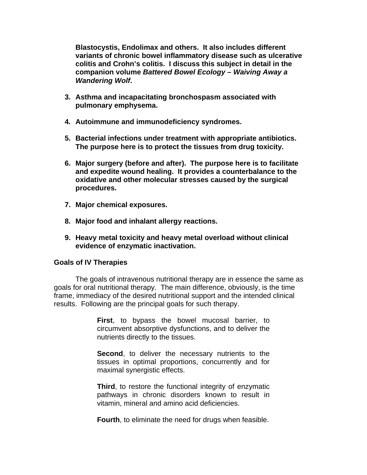**Blastocystis, Endolimax and others. It also includes different variants of chronic bowel inflammatory disease such as ulcerative colitis and Crohn's colitis. I discuss this subject in detail in the companion volume** *Battered Bowel Ecology – Waiving Away a Wandering Wolf***.** 

- **3. Asthma and incapacitating bronchospasm associated with pulmonary emphysema.**
- **4. Autoimmune and immunodeficiency syndromes.**
- **5. Bacterial infections under treatment with appropriate antibiotics. The purpose here is to protect the tissues from drug toxicity.**
- **6. Major surgery (before and after). The purpose here is to facilitate and expedite wound healing. It provides a counterbalance to the oxidative and other molecular stresses caused by the surgical procedures.**
- **7. Major chemical exposures.**
- **8. Major food and inhalant allergy reactions.**
- **9. Heavy metal toxicity and heavy metal overload without clinical evidence of enzymatic inactivation.**

# **Goals of IV Therapies**

 The goals of intravenous nutritional therapy are in essence the same as goals for oral nutritional therapy. The main difference, obviously, is the time frame, immediacy of the desired nutritional support and the intended clinical results. Following are the principal goals for such therapy.

> **First**, to bypass the bowel mucosal barrier, to circumvent absorptive dysfunctions, and to deliver the nutrients directly to the tissues.

> **Second**, to deliver the necessary nutrients to the tissues in optimal proportions, concurrently and for maximal synergistic effects.

> **Third**, to restore the functional integrity of enzymatic pathways in chronic disorders known to result in vitamin, mineral and amino acid deficiencies.

**Fourth**, to eliminate the need for drugs when feasible.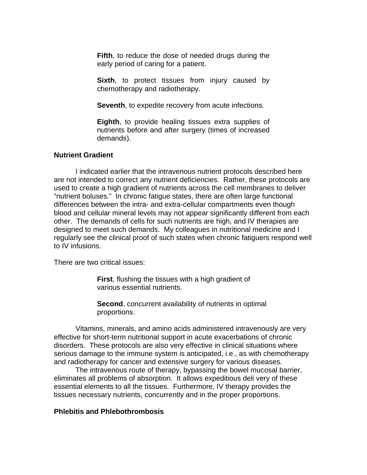**Fifth**, to reduce the dose of needed drugs during the early period of caring for a patient.

**Sixth**, to protect tissues from injury caused by chemotherapy and radiotherapy.

**Seventh**, to expedite recovery from acute infections.

**Eighth**, to provide healing tissues extra supplies of nutrients before and after surgery (times of increased demands).

### **Nutrient Gradient**

 I indicated earlier that the intravenous nutrient protocols described here are not intended to correct any nutrient deficiencies. Rather, these protocols are used to create a high gradient of nutrients across the cell membranes to deliver "nutrient boluses." In chronic fatigue states, there are often large functional differences between the intra- and extra-cellular compartments even though blood and cellular mineral levels may not appear significantly different from each other. The demands of cells for such nutrients are high, and IV therapies are designed to meet such demands. My colleagues in nutritional medicine and I regularly see the clinical proof of such states when chronic fatiguers respond well to IV infusions.

There are two critical issues:

**First**, flushing the tissues with a high gradient of various essential nutrients.

**Second**, concurrent availability of nutrients in optimal proportions.

 Vitamins, minerals, and amino acids administered intravenously are very effective for short-term nutritional support in acute exacerbations of chronic disorders. These protocols are also very effective in clinical situations where serious damage to the immune system is anticipated, i.e., as with chemotherapy and radiotherapy for cancer and extensive surgery for various diseases.

 The intravenous route of therapy, bypassing the bowel mucosal barrier, eliminates all problems of absorption. It allows expeditious deli very of these essential elements to all the tissues. Furthermore, IV therapy provides the tissues necessary nutrients, concurrently and in the proper proportions.

# **Phlebitis and Phlebothrombosis**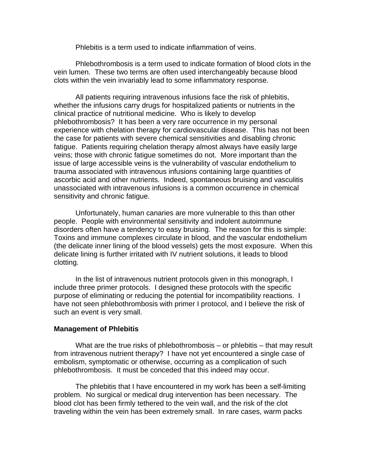Phlebitis is a term used to indicate inflammation of veins.

 Phlebothrombosis is a term used to indicate formation of blood clots in the vein lumen. These two terms are often used interchangeably because blood clots within the vein invariably lead to some inflammatory response.

 All patients requiring intravenous infusions face the risk of phlebitis, whether the infusions carry drugs for hospitalized patients or nutrients in the clinical practice of nutritional medicine. Who is likely to develop phlebothrombosis? It has been a very rare occurrence in my personal experience with chelation therapy for cardiovascular disease. This has not been the case for patients with severe chemical sensitivities and disabling chronic fatigue. Patients requiring chelation therapy almost always have easily large veins; those with chronic fatigue sometimes do not. More important than the issue of large accessible veins is the vulnerability of vascular endothelium to trauma associated with intravenous infusions containing large quantities of ascorbic acid and other nutrients. Indeed, spontaneous bruising and vasculitis unassociated with intravenous infusions is a common occurrence in chemical sensitivity and chronic fatigue.

 Unfortunately, human canaries are more vulnerable to this than other people. People with environmental sensitivity and indolent autoimmune disorders often have a tendency to easy bruising. The reason for this is simple: Toxins and immune complexes circulate in blood, and the vascular endothelium (the delicate inner lining of the blood vessels) gets the most exposure. When this delicate lining is further irritated with IV nutrient solutions, it leads to blood clotting.

 In the list of intravenous nutrient protocols given in this monograph, I include three primer protocols. I designed these protocols with the specific purpose of eliminating or reducing the potential for incompatibility reactions. I have not seen phlebothrombosis with primer I protocol, and I believe the risk of such an event is very small.

#### **Management of Phlebitis**

 What are the true risks of phlebothrombosis – or phlebitis – that may result from intravenous nutrient therapy? I have not yet encountered a single case of embolism, symptomatic or otherwise, occurring as a complication of such phlebothrombosis. It must be conceded that this indeed may occur.

 The phlebitis that I have encountered in my work has been a self-limiting problem. No surgical or medical drug intervention has been necessary. The blood clot has been firmly tethered to the vein wall, and the risk of the clot traveling within the vein has been extremely small. In rare cases, warm packs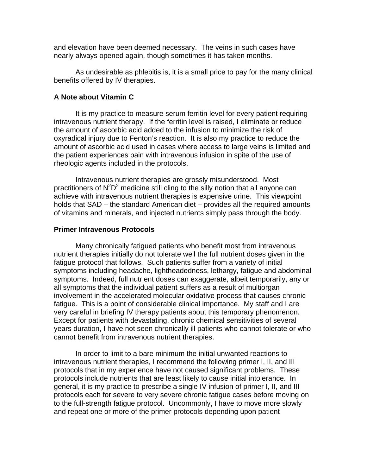and elevation have been deemed necessary. The veins in such cases have nearly always opened again, though sometimes it has taken months.

 As undesirable as phlebitis is, it is a small price to pay for the many clinical benefits offered by IV therapies.

### **A Note about Vitamin C**

 It is my practice to measure serum ferritin level for every patient requiring intravenous nutrient therapy. If the ferritin level is raised, I eliminate or reduce the amount of ascorbic acid added to the infusion to minimize the risk of oxyradical injury due to Fenton's reaction. It is also my practice to reduce the amount of ascorbic acid used in cases where access to large veins is limited and the patient experiences pain with intravenous infusion in spite of the use of rheologic agents included in the protocols.

 Intravenous nutrient therapies are grossly misunderstood. Most practitioners of  $N^2D^2$  medicine still cling to the silly notion that all anyone can achieve with intravenous nutrient therapies is expensive urine. This viewpoint holds that SAD – the standard American diet – provides all the required amounts of vitamins and minerals, and injected nutrients simply pass through the body.

#### **Primer Intravenous Protocols**

 Many chronically fatigued patients who benefit most from intravenous nutrient therapies initially do not tolerate well the full nutrient doses given in the fatigue protocol that follows. Such patients suffer from a variety of initial symptoms including headache, lightheadedness, lethargy, fatigue and abdominal symptoms. Indeed, full nutrient doses can exaggerate, albeit temporarily, any or all symptoms that the individual patient suffers as a result of multiorgan involvement in the accelerated molecular oxidative process that causes chronic fatigue. This is a point of considerable clinical importance. My staff and I are very careful in briefing IV therapy patients about this temporary phenomenon. Except for patients with devastating, chronic chemical sensitivities of several years duration, I have not seen chronically ill patients who cannot tolerate or who cannot benefit from intravenous nutrient therapies.

 In order to limit to a bare minimum the initial unwanted reactions to intravenous nutrient therapies, I recommend the following primer I, II, and III protocols that in my experience have not caused significant problems. These protocols include nutrients that are least likely to cause initial intolerance. In general, it is my practice to prescribe a single IV infusion of primer I, II, and III protocols each for severe to very severe chronic fatigue cases before moving on to the full-strength fatigue protocol. Uncommonly, I have to move more slowly and repeat one or more of the primer protocols depending upon patient